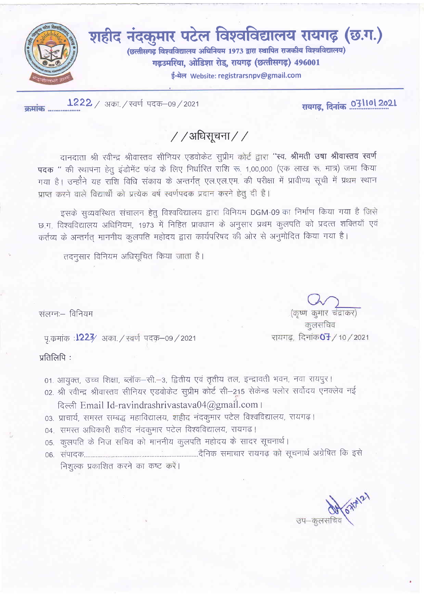

 $1222 / 345$ . / स्वर्ण पदक-09 / 2021 कमांक ..................

रायगढ़, दिनांक .071101 2021

/ / अधिसूचना / /

दानदाता श्री रवीन्द्र श्रीवास्तव सीनियर एडवोकेट सूप्रीम कोर्ट द्वारा "स्व. श्रीमती उषा श्रीवास्तव स्वर्ण पदक " की स्थापना हेतु इंडोमेंट फंड के लिए निर्धारित राशि रू. 1,00,000 (एक लाख रू. मात्र) जमा किया गया है। उन्होंने यह राशि विधि संकाय के अन्तर्गत् एल.एल.एम. की परीक्षा में प्रावीण्य सूची में प्रथम स्थान प्राप्त करने वाले विद्यार्थी को प्रत्येक वर्ष स्वर्णपदक प्रदान करने हेतु दी है।

इसके सुव्यवस्थित संचालन हेतु विश्वविद्यालय द्वारा विनियम DGM-09 का निर्माण किया गया है जिसे छ.ग. विश्वविद्यालय अधिनियम, 1973 में निहित प्रावधान के अनुसार प्रथम कुलपति को प्रदत्त शक्तियाँ एवं कर्तव्य के अन्तर्गत् माननीय कुलपति महोदय द्वारा कार्यपरिषद की ओर से अनुमोदित किया गया है।

तदनुसार विनियम अधिसूचित किया जाता है।

संलग्नः विनियम

प.कमांक : 1223⁄ अका. / स्वर्ण पदक–09 / 2021

प्रतिलिपि:

01. आयक्त, उच्च शिक्षा, ब्लॉक-सी.-3, द्वितीय एवं तृतीय तल, इन्द्रावती भवन, नवा रायपुर।

02. श्री रवीन्द्र श्रीवास्तव सीनियर एडवोकेट सूप्रीम कोर्ट सी–215 सेकेन्ड फ्लोर सर्वोदय एनक्लेव नई

दिल्ली Email Id-ravindrashrivastava04@gmail.com ।

- 03. प्राचार्य, समस्त सम्बद्ध महाविद्यालय, शहीद नंदकुमार पटेल विश्वविद्यालय, रायगढ़।
- 04. समस्त अधिकारी शहीद नंदकुमार पटेल विश्वविद्यालय, रायगढ़।
- 05. कलपति के निज सचिव को माननीय कुलपति महोदय के सादर सूचनार्थ।

निशुल्क प्रकाशित करने का कष्ट करें।

उप-कुलसचि

कलसचिव रायगढ, दिनांक**07** / 10 / 2021

(कृष्ण कुमार चंद्राकर)